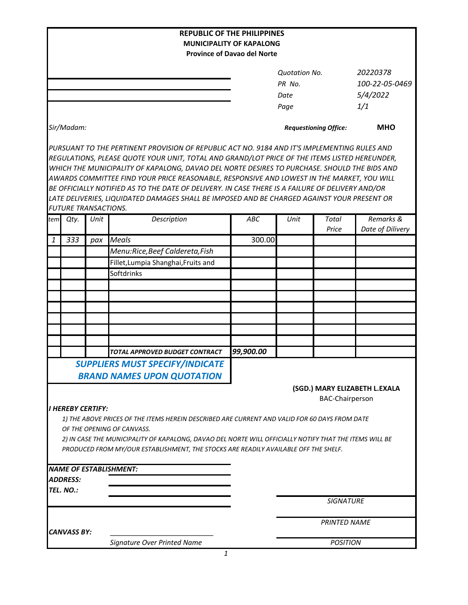|            |                             |      | <b>REPUBLIC OF THE PHILIPPINES</b>                                                                                                                                                                                                                                                                                                                                                                                                                                                                                                                                                             |                                    |                              |                        |                               |
|------------|-----------------------------|------|------------------------------------------------------------------------------------------------------------------------------------------------------------------------------------------------------------------------------------------------------------------------------------------------------------------------------------------------------------------------------------------------------------------------------------------------------------------------------------------------------------------------------------------------------------------------------------------------|------------------------------------|------------------------------|------------------------|-------------------------------|
|            |                             |      |                                                                                                                                                                                                                                                                                                                                                                                                                                                                                                                                                                                                | <b>MUNICIPALITY OF KAPALONG</b>    |                              |                        |                               |
|            |                             |      |                                                                                                                                                                                                                                                                                                                                                                                                                                                                                                                                                                                                | <b>Province of Davao del Norte</b> |                              |                        |                               |
|            |                             |      |                                                                                                                                                                                                                                                                                                                                                                                                                                                                                                                                                                                                |                                    | <b>Quotation No.</b>         |                        | 20220378                      |
|            |                             |      |                                                                                                                                                                                                                                                                                                                                                                                                                                                                                                                                                                                                |                                    | PR No.                       |                        | 100-22-05-0469                |
|            |                             |      |                                                                                                                                                                                                                                                                                                                                                                                                                                                                                                                                                                                                |                                    | Date                         |                        | 5/4/2022                      |
|            |                             |      |                                                                                                                                                                                                                                                                                                                                                                                                                                                                                                                                                                                                |                                    | Page                         |                        | 1/1                           |
| Sir/Madam: |                             |      |                                                                                                                                                                                                                                                                                                                                                                                                                                                                                                                                                                                                |                                    | <b>Requestioning Office:</b> |                        | <b>MHO</b>                    |
|            |                             |      | PURSUANT TO THE PERTINENT PROVISION OF REPUBLIC ACT NO. 9184 AND IT'S IMPLEMENTING RULES AND<br>REGULATIONS, PLEASE QUOTE YOUR UNIT, TOTAL AND GRAND/LOT PRICE OF THE ITEMS LISTED HEREUNDER,<br>WHICH THE MUNICIPALITY OF KAPALONG, DAVAO DEL NORTE DESIRES TO PURCHASE. SHOULD THE BIDS AND<br>AWARDS COMMITTEE FIND YOUR PRICE REASONABLE, RESPONSIVE AND LOWEST IN THE MARKET, YOU WILL<br>BE OFFICIALLY NOTIFIED AS TO THE DATE OF DELIVERY. IN CASE THERE IS A FAILURE OF DELIVERY AND/OR<br>LATE DELIVERIES, LIQUIDATED DAMAGES SHALL BE IMPOSED AND BE CHARGED AGAINST YOUR PRESENT OR |                                    |                              |                        |                               |
|            | <b>FUTURE TRANSACTIONS.</b> |      |                                                                                                                                                                                                                                                                                                                                                                                                                                                                                                                                                                                                |                                    |                              |                        |                               |
| tem        | Qty.                        | Unit | Description                                                                                                                                                                                                                                                                                                                                                                                                                                                                                                                                                                                    | ABC                                | Unit                         | Total<br>Price         | Remarks &<br>Date of Dilivery |
| 1          | 333                         | pax  | <b>Meals</b>                                                                                                                                                                                                                                                                                                                                                                                                                                                                                                                                                                                   | 300.00                             |                              |                        |                               |
|            |                             |      | Menu:Rice, Beef Caldereta, Fish                                                                                                                                                                                                                                                                                                                                                                                                                                                                                                                                                                |                                    |                              |                        |                               |
|            |                             |      | Fillet, Lumpia Shanghai, Fruits and                                                                                                                                                                                                                                                                                                                                                                                                                                                                                                                                                            |                                    |                              |                        |                               |
|            |                             |      | Softdrinks                                                                                                                                                                                                                                                                                                                                                                                                                                                                                                                                                                                     |                                    |                              |                        |                               |
|            |                             |      |                                                                                                                                                                                                                                                                                                                                                                                                                                                                                                                                                                                                |                                    |                              |                        |                               |
|            |                             |      |                                                                                                                                                                                                                                                                                                                                                                                                                                                                                                                                                                                                |                                    |                              |                        |                               |
|            |                             |      |                                                                                                                                                                                                                                                                                                                                                                                                                                                                                                                                                                                                |                                    |                              |                        |                               |
|            |                             |      |                                                                                                                                                                                                                                                                                                                                                                                                                                                                                                                                                                                                |                                    |                              |                        |                               |
|            |                             |      |                                                                                                                                                                                                                                                                                                                                                                                                                                                                                                                                                                                                |                                    |                              |                        |                               |
|            |                             |      |                                                                                                                                                                                                                                                                                                                                                                                                                                                                                                                                                                                                |                                    |                              |                        |                               |
|            |                             |      |                                                                                                                                                                                                                                                                                                                                                                                                                                                                                                                                                                                                |                                    |                              |                        |                               |
|            |                             |      | TOTAL APPROVED BUDGET CONTRACT                                                                                                                                                                                                                                                                                                                                                                                                                                                                                                                                                                 | 99,900.00                          |                              |                        |                               |
|            |                             |      | <b>SUPPLIERS MUST SPECIFY/INDICATE</b>                                                                                                                                                                                                                                                                                                                                                                                                                                                                                                                                                         |                                    |                              |                        |                               |
|            |                             |      | <b>BRAND NAMES UPON QUOTATION</b>                                                                                                                                                                                                                                                                                                                                                                                                                                                                                                                                                              |                                    |                              |                        |                               |
|            |                             |      |                                                                                                                                                                                                                                                                                                                                                                                                                                                                                                                                                                                                |                                    |                              | <b>BAC-Chairperson</b> | (SGD.) MARY ELIZABETH L.EXALA |
|            | <b>I HEREBY CERTIFY:</b>    |      | 1) THE ABOVE PRICES OF THE ITEMS HEREIN DESCRIBED ARE CURRENT AND VALID FOR 60 DAYS FROM DATE<br>OF THE OPENING OF CANVASS.<br>2) IN CASE THE MUNICIPALITY OF KAPALONG, DAVAO DEL NORTE WILL OFFICIALLY NOTIFY THAT THE ITEMS WILL BE<br>PRODUCED FROM MY/OUR ESTABLISHMENT, THE STOCKS ARE READILY AVAILABLE OFF THE SHELF.                                                                                                                                                                                                                                                                   |                                    |                              |                        |                               |
|            |                             |      | <b>NAME OF ESTABLISHMENT:</b>                                                                                                                                                                                                                                                                                                                                                                                                                                                                                                                                                                  |                                    |                              |                        |                               |
|            | <b>ADDRESS:</b>             |      |                                                                                                                                                                                                                                                                                                                                                                                                                                                                                                                                                                                                |                                    |                              |                        |                               |
|            | TEL. NO.:                   |      |                                                                                                                                                                                                                                                                                                                                                                                                                                                                                                                                                                                                |                                    |                              |                        |                               |
|            |                             |      |                                                                                                                                                                                                                                                                                                                                                                                                                                                                                                                                                                                                |                                    |                              | <b>SIGNATURE</b>       |                               |
|            | CANVASS BY:                 |      |                                                                                                                                                                                                                                                                                                                                                                                                                                                                                                                                                                                                |                                    |                              | <b>PRINTED NAME</b>    |                               |
|            |                             |      | Signature Over Printed Name                                                                                                                                                                                                                                                                                                                                                                                                                                                                                                                                                                    |                                    |                              | <b>POSITION</b>        |                               |